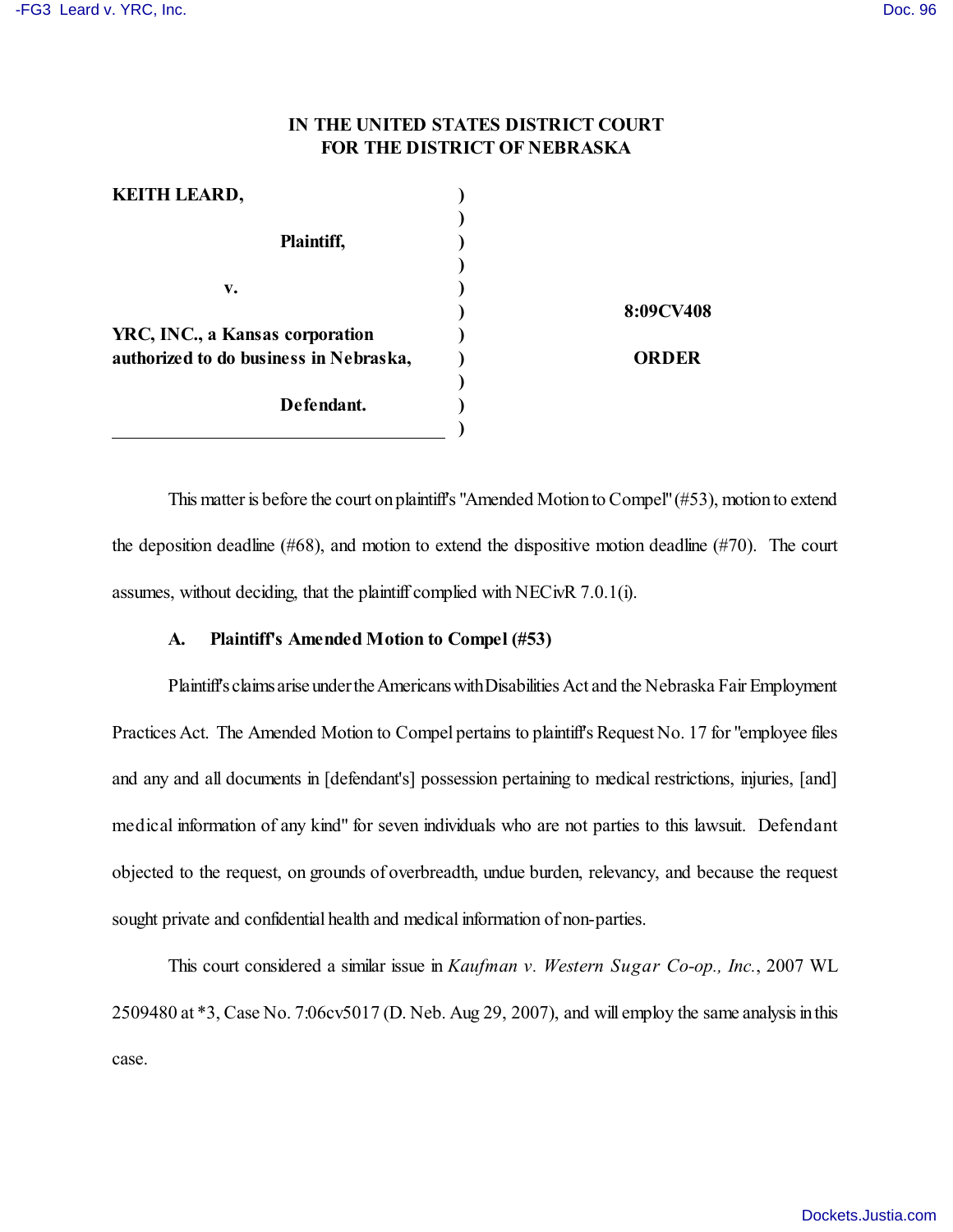# **IN THE UNITED STATES DISTRICT COURT FOR THE DISTRICT OF NEBRASKA**

| <b>KEITH LEARD,</b>                    |           |
|----------------------------------------|-----------|
|                                        |           |
| Plaintiff,                             |           |
|                                        |           |
| v.                                     |           |
|                                        | 8:09CV408 |
| YRC, INC., a Kansas corporation        |           |
| authorized to do business in Nebraska, | ORDER     |
|                                        |           |
| Defendant.                             |           |
|                                        |           |

This matter is before the court on plaintiff's "Amended Motion to Compel" (#53), motion to extend the deposition deadline (#68), and motion to extend the dispositive motion deadline (#70). The court assumes, without deciding, that the plaintiff complied with NECivR 7.0.1(i).

## **A. Plaintiff's Amended Motion to Compel (#53)**

Plaintiff's claims arise under the Americans with Disabilities Act and the Nebraska Fair Employment Practices Act. The Amended Motion to Compel pertains to plaintiff's Request No. 17 for "employee files and any and all documents in [defendant's] possession pertaining to medical restrictions, injuries, [and] medical information of any kind" for seven individuals who are not parties to this lawsuit. Defendant objected to the request, on grounds of overbreadth, undue burden, relevancy, and because the request sought private and confidential health and medical information of non-parties.

This court considered a similar issue in *Kaufman v. Western Sugar Co-op., Inc.*, 2007 WL 2509480 at \*3, Case No. 7:06cv5017 (D. Neb. Aug 29, 2007), and will employ the same analysis in this case.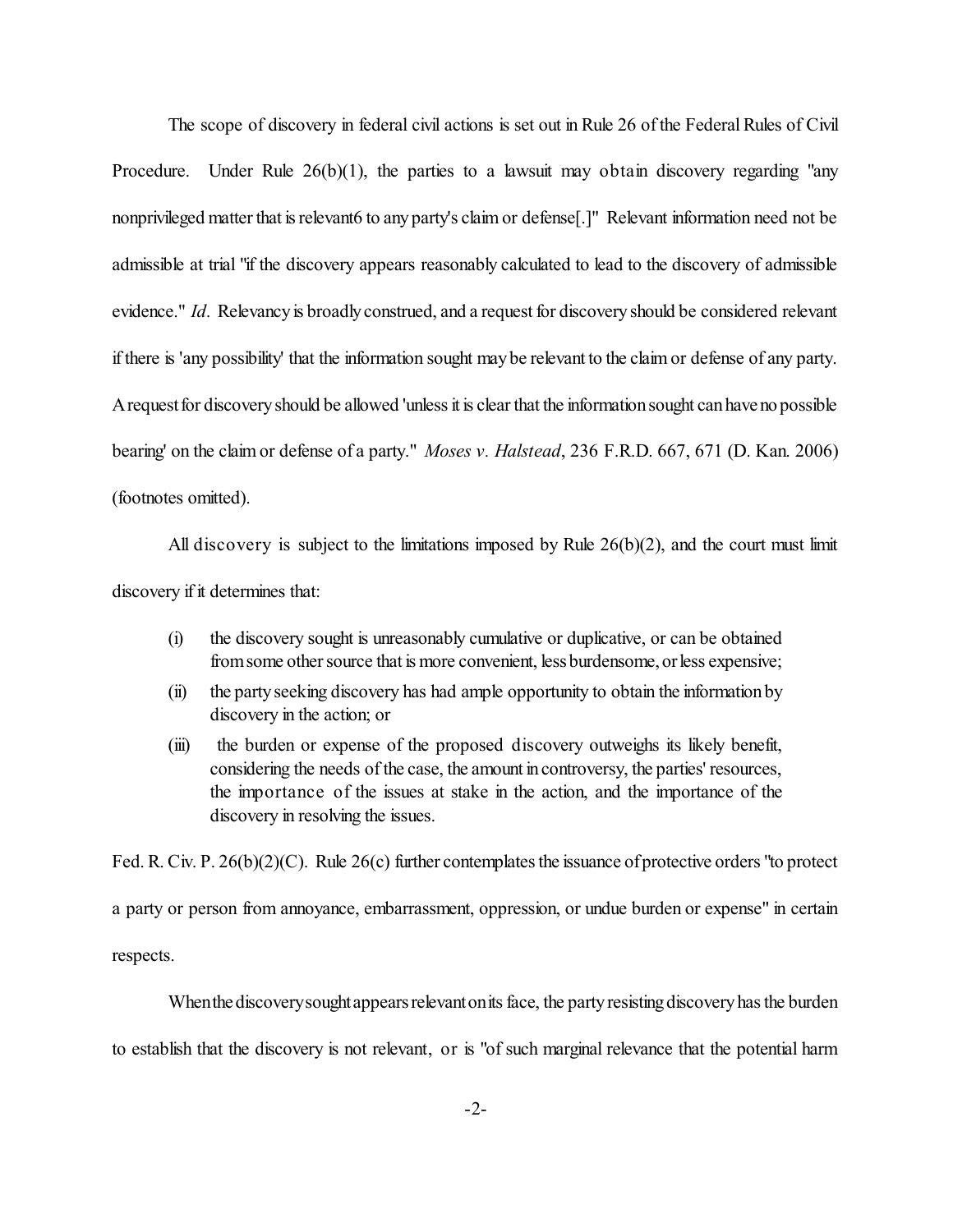The scope of discovery in federal civil actions is set out in Rule 26 of the Federal Rules of Civil Procedure. Under Rule 26(b)(1), the parties to a lawsuit may obtain discovery regarding "any nonprivileged matter that is relevant6 to any party's claim or defense[.]" Relevant information need not be admissible at trial "if the discovery appears reasonably calculated to lead to the discovery of admissible evidence." *Id*. Relevancy is broadly construed, and a request for discovery should be considered relevant if there is 'any possibility' that the information sought maybe relevant to the claim or defense of any party. A request for discovery should be allowed 'unless it is clear that the information sought can have no possible bearing' on the claim or defense of a party." *Moses v. Halstead*, 236 F.R.D. 667, 671 (D. Kan. 2006) (footnotes omitted).

All discovery is subject to the limitations imposed by Rule 26(b)(2), and the court must limit discovery if it determines that:

- (i) the discovery sought is unreasonably cumulative or duplicative, or can be obtained from some other source that is more convenient, less burdensome, or less expensive;
- (ii) the partyseeking discovery has had ample opportunity to obtain the informationby discovery in the action; or
- (iii) the burden or expense of the proposed discovery outweighs its likely benefit, considering the needs of the case, the amount in controversy, the parties' resources, the importance of the issues at stake in the action, and the importance of the discovery in resolving the issues.

Fed. R. Civ. P. 26(b)(2)(C). Rule 26(c) further contemplates the issuance of protective orders "to protect

a party or person from annoyance, embarrassment, oppression, or undue burden or expense" in certain respects.

When the discovery sought appears relevant on its face, the party resisting discovery has the burden to establish that the discovery is not relevant, or is "of such marginal relevance that the potential harm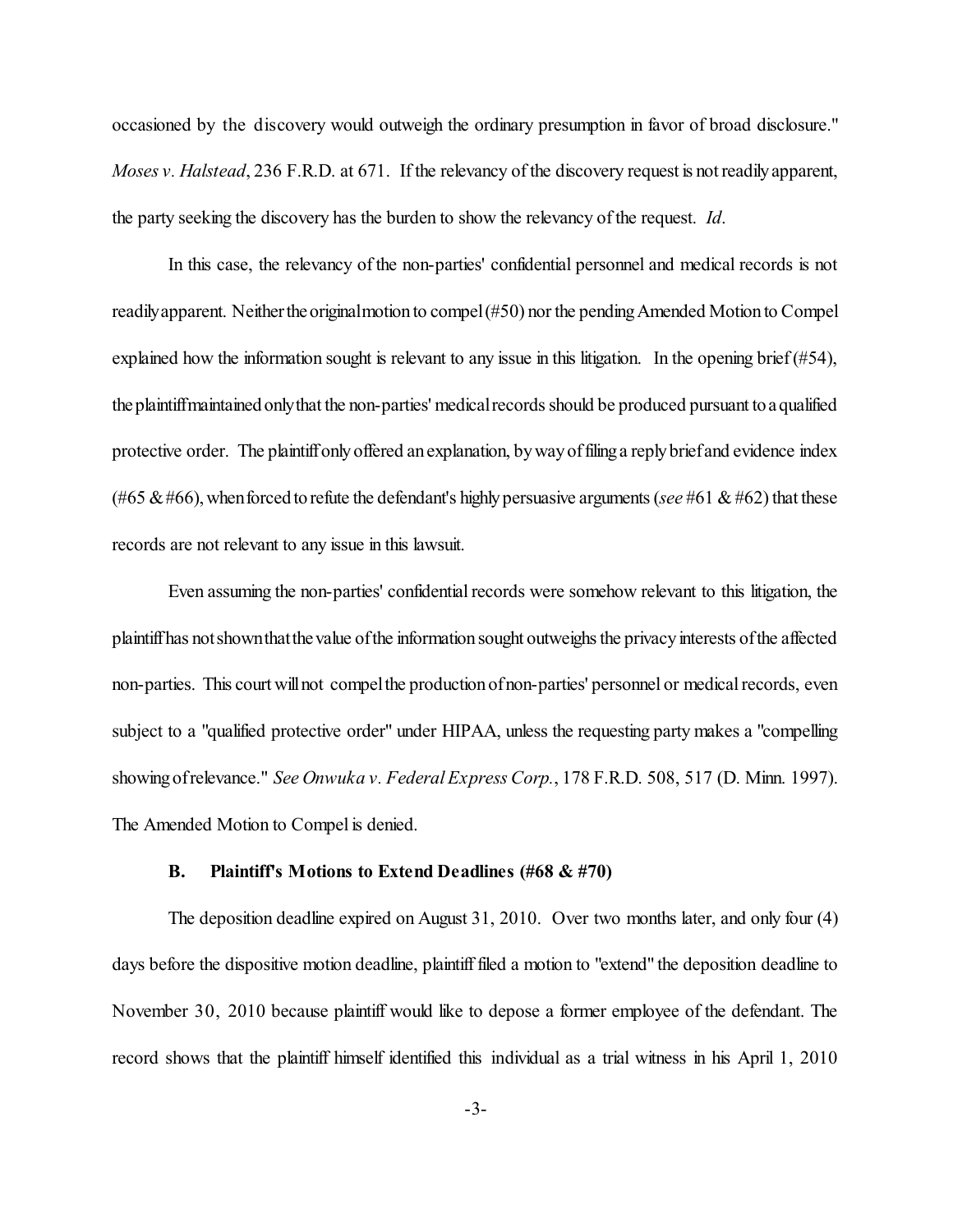occasioned by the discovery would outweigh the ordinary presumption in favor of broad disclosure." *Moses v. Halstead*, 236 F.R.D. at 671. If the relevancy of the discovery request is not readily apparent, the party seeking the discovery has the burden to show the relevancy of the request. *Id*.

In this case, the relevancy of the non-parties' confidential personnel and medical records is not readilyapparent. Neitherthe originalmotion to compel (#50) nor the pending Amended Motion to Compel explained how the information sought is relevant to any issue in this litigation. In the opening brief (#54), the plaintiffmaintained onlythat the non-parties' medical records should be produced pursuant to a qualified protective order. The plaintiff only offered an explanation, by way of filing a reply brief and evidence index (#65  $\&$  #66), when forced to refute the defendant's highly persuasive arguments (*see* #61  $\&$  #62) that these records are not relevant to any issue in this lawsuit.

Even assuming the non-parties' confidential records were somehow relevant to this litigation, the plaintiff has notshownthatthe value of the information sought outweighs the privacy interests of the affected non-parties. This court will not compel the production of non-parties' personnel or medical records, even subject to a "qualified protective order" under HIPAA, unless the requesting party makes a "compelling showing of relevance." *See Onwuka v. Federal Express Corp.*, 178 F.R.D. 508, 517 (D. Minn. 1997). The Amended Motion to Compel is denied.

#### **B. Plaintiff's Motions to Extend Deadlines (#68 & #70)**

The deposition deadline expired on August 31, 2010. Over two months later, and only four (4) days before the dispositive motion deadline, plaintiff filed a motion to "extend" the deposition deadline to November 30, 2010 because plaintiff would like to depose a former employee of the defendant. The record shows that the plaintiff himself identified this individual as a trial witness in his April 1, 2010